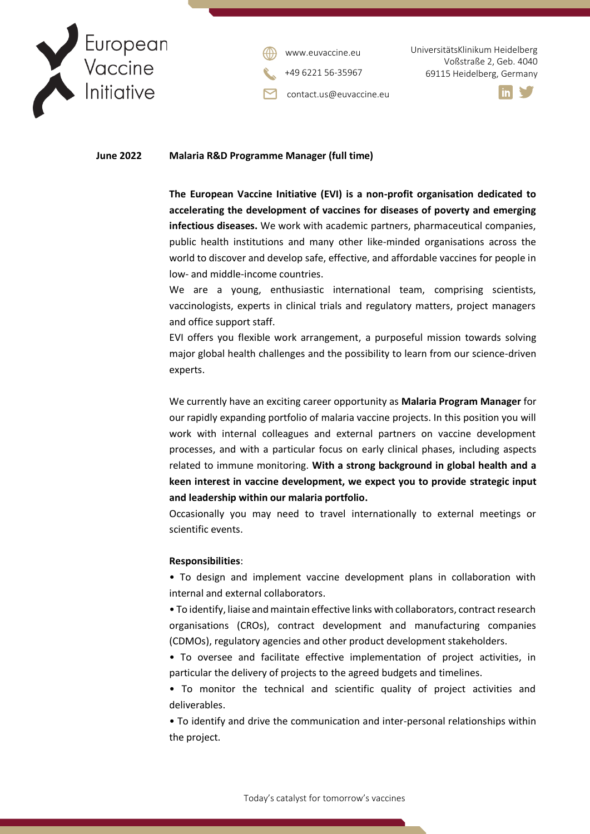

contact.us@euvaccine.eu [www.euvaccine.eu](file:///C:/Users/Catarina%20Luis/Desktop/Institutional%20Communication/Templates/Letter/www.euvaccine.eu)

UniversitätsKlinikum Heidelberg Voßstraße 2, Geb. 4040 +49 6221 56-35967 69115 Heidelberg, Germany



#### **June 2022 Malaria R&D Programme Manager (full time)**

**The European Vaccine Initiative (EVI) is a non-profit organisation dedicated to accelerating the development of vaccines for diseases of poverty and emerging infectious diseases.** We work with academic partners, pharmaceutical companies, public health institutions and many other like-minded organisations across the world to discover and develop safe, effective, and affordable vaccines for people in low- and middle-income countries.

We are a young, enthusiastic international team, comprising scientists, vaccinologists, experts in clinical trials and regulatory matters, project managers and office support staff.

EVI offers you flexible work arrangement, a purposeful mission towards solving major global health challenges and the possibility to learn from our science-driven experts.

We currently have an exciting career opportunity as **Malaria Program Manager** for our rapidly expanding portfolio of malaria vaccine projects. In this position you will work with internal colleagues and external partners on vaccine development processes, and with a particular focus on early clinical phases, including aspects related to immune monitoring. **With a strong background in global health and a keen interest in vaccine development, we expect you to provide strategic input and leadership within our malaria portfolio.**

Occasionally you may need to travel internationally to external meetings or scientific events.

#### **Responsibilities**:

• To design and implement vaccine development plans in collaboration with internal and external collaborators.

• To identify, liaise and maintain effective links with collaborators, contract research organisations (CROs), contract development and manufacturing companies (CDMOs), regulatory agencies and other product development stakeholders.

• To oversee and facilitate effective implementation of project activities, in particular the delivery of projects to the agreed budgets and timelines.

• To monitor the technical and scientific quality of project activities and deliverables.

• To identify and drive the communication and inter-personal relationships within the project.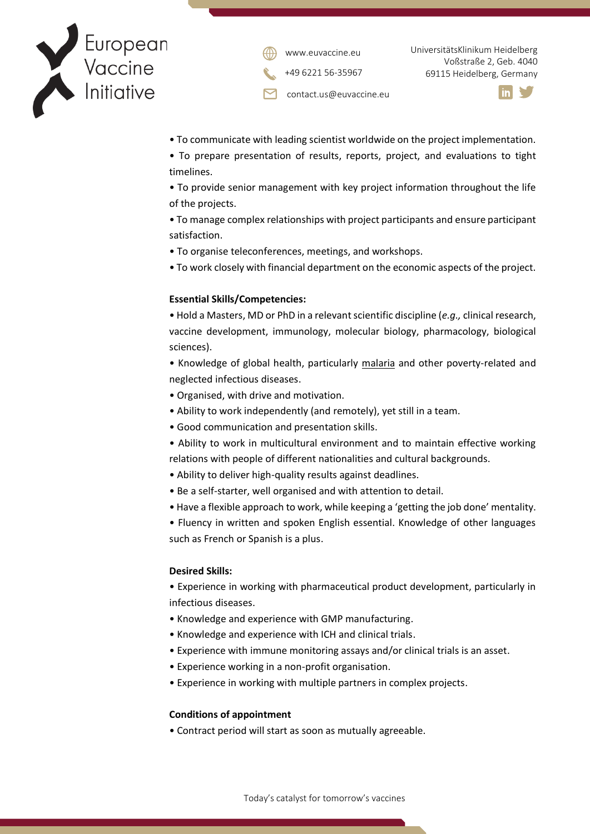



UniversitätsKlinikum Heidelberg Voßstraße 2, Geb. 4040 +49 6221 56-35967 69115 Heidelberg, Germany

contact.us@euvaccine.eu



- To communicate with leading scientist worldwide on the project implementation.
- To prepare presentation of results, reports, project, and evaluations to tight timelines.
- To provide senior management with key project information throughout the life of the projects.
- To manage complex relationships with project participants and ensure participant satisfaction.
- To organise teleconferences, meetings, and workshops.
- To work closely with financial department on the economic aspects of the project.

## **Essential Skills/Competencies:**

• Hold a Masters, MD or PhD in a relevant scientific discipline (*e.g.,* clinical research, vaccine development, immunology, molecular biology, pharmacology, biological sciences).

• Knowledge of global health, particularly malaria and other poverty-related and neglected infectious diseases.

- Organised, with drive and motivation.
- Ability to work independently (and remotely), yet still in a team.
- Good communication and presentation skills.
- Ability to work in multicultural environment and to maintain effective working relations with people of different nationalities and cultural backgrounds.
- Ability to deliver high-quality results against deadlines.
- Be a self-starter, well organised and with attention to detail.
- Have a flexible approach to work, while keeping a 'getting the job done' mentality.

• Fluency in written and spoken English essential. Knowledge of other languages such as French or Spanish is a plus.

## **Desired Skills:**

• Experience in working with pharmaceutical product development, particularly in infectious diseases.

- Knowledge and experience with GMP manufacturing.
- Knowledge and experience with ICH and clinical trials.
- Experience with immune monitoring assays and/or clinical trials is an asset.
- Experience working in a non-profit organisation.
- Experience in working with multiple partners in complex projects.

## **Conditions of appointment**

• Contract period will start as soon as mutually agreeable.